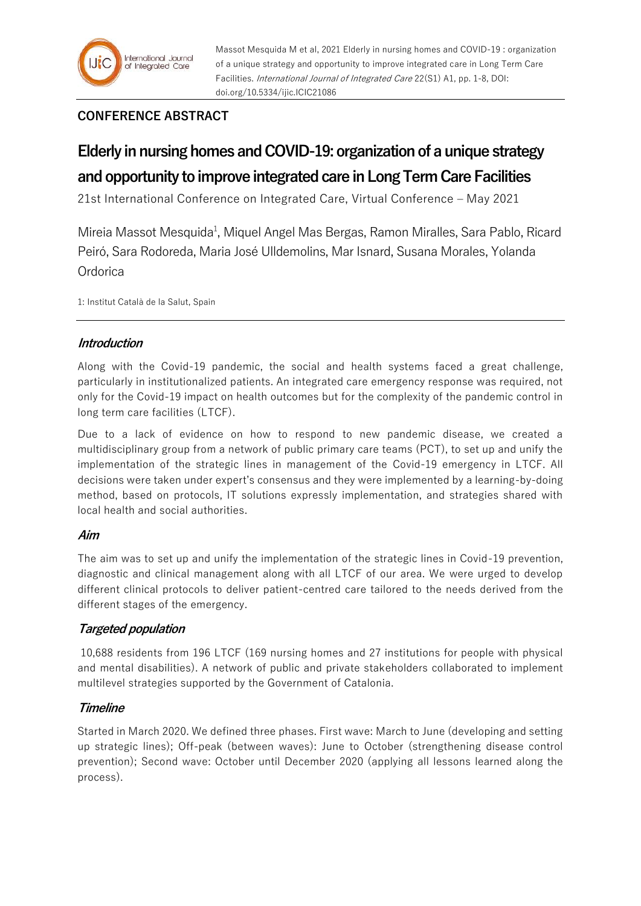Massot Mesquida M et al, 2021 Elderly in nursing homes and COVID-19 : organization of a unique strategy and opportunity to improve integrated care in Long Term Care Facilities. International Journal of Integrated Care 22(S1) A1, pp. 1-8, DOI: doi.org/10.5334/ijic.ICIC21086

# **CONFERENCE ABSTRACT**

# **Elderly in nursing homes and COVID-19: organization of a unique strategy and opportunity to improve integrated care in Long Term Care Facilities**

21st International Conference on Integrated Care, Virtual Conference – May 2021

Mireia Massot Mesquida<sup>1</sup>, Miquel Angel Mas Bergas, Ramon Miralles, Sara Pablo, Ricard Peiró, Sara Rodoreda, Maria José Ulldemolins, Mar Isnard, Susana Morales, Yolanda **Ordorica** 

1: Institut Català de la Salut, Spain

# **Introduction**

Along with the Covid-19 pandemic, the social and health systems faced a great challenge, particularly in institutionalized patients. An integrated care emergency response was required, not only for the Covid-19 impact on health outcomes but for the complexity of the pandemic control in long term care facilities (LTCF).

Due to a lack of evidence on how to respond to new pandemic disease, we created a multidisciplinary group from a network of public primary care teams (PCT), to set up and unify the implementation of the strategic lines in management of the Covid-19 emergency in LTCF. All decisions were taken under expert's consensus and they were implemented by a learning-by-doing method, based on protocols, IT solutions expressly implementation, and strategies shared with local health and social authorities.

# **Aim**

The aim was to set up and unify the implementation of the strategic lines in Covid-19 prevention, diagnostic and clinical management along with all LTCF of our area. We were urged to develop different clinical protocols to deliver patient-centred care tailored to the needs derived from the different stages of the emergency.

# **Targeted population**

10,688 residents from 196 LTCF (169 nursing homes and 27 institutions for people with physical and mental disabilities). A network of public and private stakeholders collaborated to implement multilevel strategies supported by the Government of Catalonia.

# **Timeline**

Started in March 2020. We defined three phases. First wave: March to June (developing and setting up strategic lines); Off-peak (between waves): June to October (strengthening disease control prevention); Second wave: October until December 2020 (applying all lessons learned along the process).